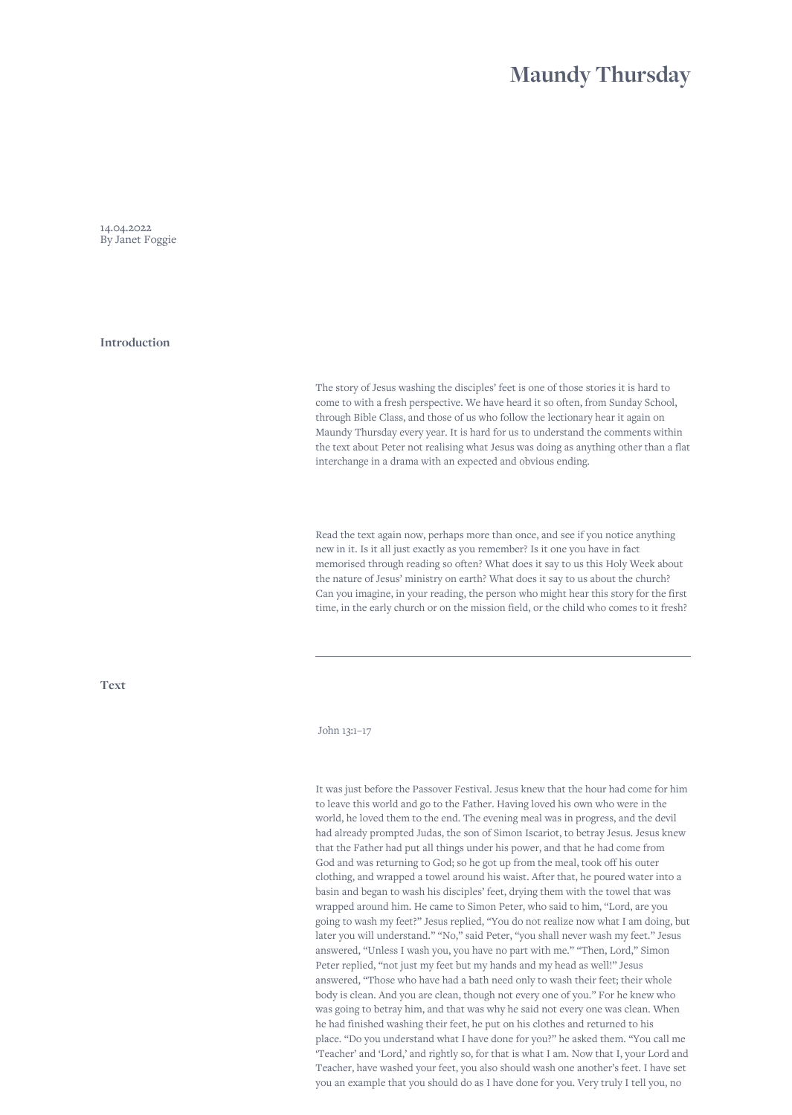## **Maundy Thursday**

14.04.2022 By Janet Foggie

**Introduction**

The story of Jesus washing the disciples' feet is one of those stories it is hard to come to with a fresh perspective. We have heard it so often, from Sunday School, through Bible Class, and those of us who follow the lectionary hear it again on Maundy Thursday every year. It is hard for us to understand the comments within the text about Peter not realising what Jesus was doing as anything other than a flat interchange in a drama with an expected and obvious ending.

Read the text again now, perhaps more than once, and see if you notice anything new in it. Is it all just exactly as you remember? Is it one you have in fact memorised through reading so often? What does it say to us this Holy Week about the nature of Jesus' ministry on earth? What does it say to us about the church? Can you imagine, in your reading, the person who might hear this story for the first time, in the early church or on the mission field, or the child who comes to it fresh?

**Text**

## John 13:1–17

It was just before the Passover Festival. Jesus knew that the hour had come for him to leave this world and go to the Father. Having loved his own who were in the world, he loved them to the end. The evening meal was in progress, and the devil had already prompted Judas, the son of Simon Iscariot, to betray Jesus. Jesus knew that the Father had put all things under his power, and that he had come from God and was returning to God; so he got up from the meal, took off his outer clothing, and wrapped a towel around his waist. After that, he poured water into a basin and began to wash his disciples' feet, drying them with the towel that was wrapped around him. He came to Simon Peter, who said to him, "Lord, are you going to wash my feet?" Jesus replied, "You do not realize now what I am doing, but later you will understand." "No," said Peter, "you shall never wash my feet." Jesus answered, "Unless I wash you, you have no part with me." "Then, Lord," Simon Peter replied, "not just my feet but my hands and my head as well!" Jesus answered, "Those who have had a bath need only to wash their feet; their whole body is clean. And you are clean, though not every one of you." For he knew who was going to betray him, and that was why he said not every one was clean. When he had finished washing their feet, he put on his clothes and returned to his place. "Do you understand what I have done for you?" he asked them. "You call me 'Teacher' and 'Lord,' and rightly so, for that is what I am. Now that I, your Lord and Teacher, have washed your feet, you also should wash one another's feet. I have set you an example that you should do as I have done for you. Very truly I tell you, no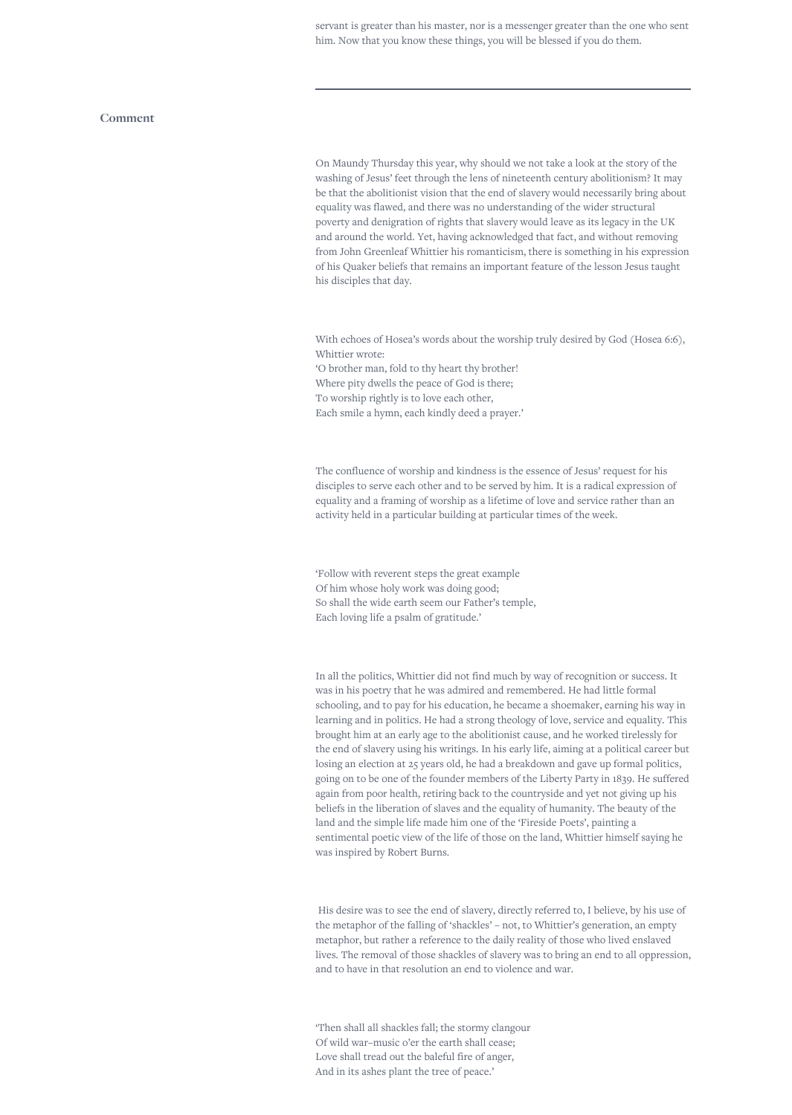servant is greater than his master, nor is a messenger greater than the one who sent him. Now that you know these things, you will be blessed if you do them.

## **Comment**

On Maundy Thursday this year, why should we not take a look at the story of the washing of Jesus' feet through the lens of nineteenth century abolitionism? It may be that the abolitionist vision that the end of slavery would necessarily bring about equality was flawed, and there was no understanding of the wider structural poverty and denigration of rights that slavery would leave as its legacy in the UK and around the world. Yet, having acknowledged that fact, and without removing from John Greenleaf Whittier his romanticism, there is something in his expression of his Quaker beliefs that remains an important feature of the lesson Jesus taught his disciples that day.

With echoes of Hosea's words about the worship truly desired by God (Hosea 6:6), Whittier wrote:

'O brother man, fold to thy heart thy brother! Where pity dwells the peace of God is there; To worship rightly is to love each other, Each smile a hymn, each kindly deed a prayer.'

The confluence of worship and kindness is the essence of Jesus' request for his disciples to serve each other and to be served by him. It is a radical expression of equality and a framing of worship as a lifetime of love and service rather than an activity held in a particular building at particular times of the week.

'Follow with reverent steps the great example Of him whose holy work was doing good; So shall the wide earth seem our Father's temple, Each loving life a psalm of gratitude.'

In all the politics, Whittier did not find much by way of recognition or success. It was in his poetry that he was admired and remembered. He had little formal schooling, and to pay for his education, he became a shoemaker, earning his way in learning and in politics. He had a strong theology of love, service and equality. This brought him at an early age to the abolitionist cause, and he worked tirelessly for the end of slavery using his writings. In his early life, aiming at a political career but losing an election at 25 years old, he had a breakdown and gave up formal politics, going on to be one of the founder members of the Liberty Party in 1839. He suffered again from poor health, retiring back to the countryside and yet not giving up his beliefs in the liberation of slaves and the equality of humanity. The beauty of the land and the simple life made him one of the 'Fireside Poets', painting a sentimental poetic view of the life of those on the land, Whittier himself saying he was inspired by Robert Burns.

 His desire was to see the end of slavery, directly referred to, I believe, by his use of the metaphor of the falling of 'shackles' – not, to Whittier's generation, an empty metaphor, but rather a reference to the daily reality of those who lived enslaved lives. The removal of those shackles of slavery was to bring an end to all oppression, and to have in that resolution an end to violence and war.

'Then shall all shackles fall; the stormy clangour Of wild war–music o'er the earth shall cease; Love shall tread out the baleful fire of anger, And in its ashes plant the tree of peace.'